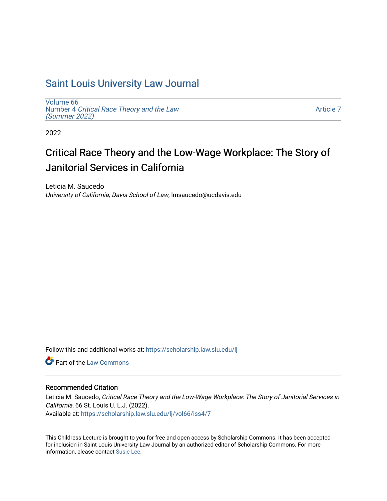## [Saint Louis University Law Journal](https://scholarship.law.slu.edu/lj)

[Volume 66](https://scholarship.law.slu.edu/lj/vol66) Number 4 [Critical Race Theory and the Law](https://scholarship.law.slu.edu/lj/vol66/iss4)  [\(Summer 2022\)](https://scholarship.law.slu.edu/lj/vol66/iss4)

[Article 7](https://scholarship.law.slu.edu/lj/vol66/iss4/7) 

2022

# Critical Race Theory and the Low-Wage Workplace: The Story of Janitorial Services in California

Leticia M. Saucedo University of California, Davis School of Law, lmsaucedo@ucdavis.edu

Follow this and additional works at: [https://scholarship.law.slu.edu/lj](https://scholarship.law.slu.edu/lj?utm_source=scholarship.law.slu.edu%2Flj%2Fvol66%2Fiss4%2F7&utm_medium=PDF&utm_campaign=PDFCoverPages) 

**C** Part of the [Law Commons](https://network.bepress.com/hgg/discipline/578?utm_source=scholarship.law.slu.edu%2Flj%2Fvol66%2Fiss4%2F7&utm_medium=PDF&utm_campaign=PDFCoverPages)

## Recommended Citation

Leticia M. Saucedo, Critical Race Theory and the Low-Wage Workplace: The Story of Janitorial Services in California, 66 St. Louis U. L.J. (2022). Available at: [https://scholarship.law.slu.edu/lj/vol66/iss4/7](https://scholarship.law.slu.edu/lj/vol66/iss4/7?utm_source=scholarship.law.slu.edu%2Flj%2Fvol66%2Fiss4%2F7&utm_medium=PDF&utm_campaign=PDFCoverPages) 

This Childress Lecture is brought to you for free and open access by Scholarship Commons. It has been accepted for inclusion in Saint Louis University Law Journal by an authorized editor of Scholarship Commons. For more information, please contact [Susie Lee](mailto:susie.lee@slu.edu).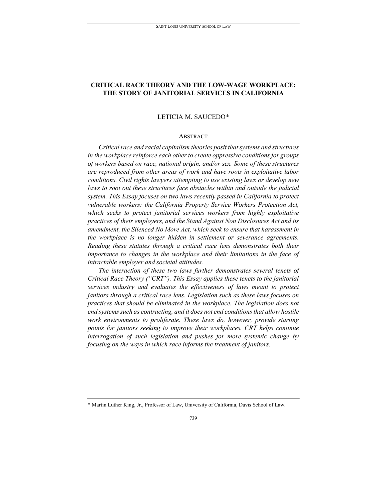## **CRITICAL RACE THEORY AND THE LOW-WAGE WORKPLACE: THE STORY OF JANITORIAL SERVICES IN CALIFORNIA**

#### LETICIA M. SAUCEDO[\\*](#page-1-0)

#### ABSTRACT

*Critical race and racial capitalism theories posit that systems and structures in the workplace reinforce each other to create oppressive conditions for groups of workers based on race, national origin, and/or sex. Some of these structures are reproduced from other areas of work and have roots in exploitative labor conditions. Civil rights lawyers attempting to use existing laws or develop new*  laws to root out these structures face obstacles within and outside the judicial *system. This Essay focuses on two laws recently passed in California to protect vulnerable workers: the California Property Service Workers Protection Act, which seeks to protect janitorial services workers from highly exploitative practices of their employers, and the Stand Against Non Disclosures Act and its amendment, the Silenced No More Act, which seek to ensure that harassment in the workplace is no longer hidden in settlement or severance agreements. Reading these statutes through a critical race lens demonstrates both their importance to changes in the workplace and their limitations in the face of intractable employer and societal attitudes.*

*The interaction of these two laws further demonstrates several tenets of Critical Race Theory ("CRT"). This Essay applies these tenets to the janitorial services industry and evaluates the effectiveness of laws meant to protect janitors through a critical race lens. Legislation such as these laws focuses on practices that should be eliminated in the workplace. The legislation does not end systems such as contracting, and it does not end conditions that allow hostile work environments to proliferate. These laws do, however, provide starting points for janitors seeking to improve their workplaces. CRT helps continue interrogation of such legislation and pushes for more systemic change by focusing on the ways in which race informs the treatment of janitors.* 

<span id="page-1-0"></span><sup>\*</sup> Martin Luther King, Jr., Professor of Law, University of California, Davis School of Law.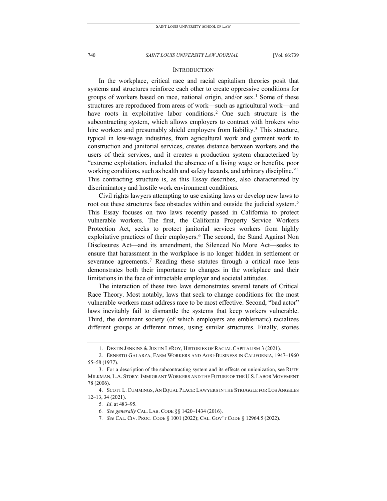#### **INTRODUCTION**

In the workplace, critical race and racial capitalism theories posit that systems and structures reinforce each other to create oppressive conditions for groups of workers based on race, national origin, and/or sex.<sup>[1](#page-2-0)</sup> Some of these structures are reproduced from areas of work—such as agricultural work—and have roots in exploitative labor conditions.<sup>[2](#page-2-1)</sup> One such structure is the subcontracting system, which allows employers to contract with brokers who hire workers and presumably shield employers from liability.<sup>[3](#page-2-2)</sup> This structure, typical in low-wage industries, from agricultural work and garment work to construction and janitorial services, creates distance between workers and the users of their services, and it creates a production system characterized by "extreme exploitation, included the absence of a living wage or benefits, poor working conditions, such as health and safety hazards, and arbitrary discipline."[4](#page-2-3) This contracting structure is, as this Essay describes, also characterized by discriminatory and hostile work environment conditions.

Civil rights lawyers attempting to use existing laws or develop new laws to root out these structures face obstacles within and outside the judicial system.<sup>[5](#page-2-4)</sup> This Essay focuses on two laws recently passed in California to protect vulnerable workers. The first, the California Property Service Workers Protection Act, seeks to protect janitorial services workers from highly exploitative practices of their employers.<sup>[6](#page-2-5)</sup> The second, the Stand Against Non Disclosures Act—and its amendment, the Silenced No More Act—seeks to ensure that harassment in the workplace is no longer hidden in settlement or severance agreements.<sup>[7](#page-2-6)</sup> Reading these statutes through a critical race lens demonstrates both their importance to changes in the workplace and their limitations in the face of intractable employer and societal attitudes.

The interaction of these two laws demonstrates several tenets of Critical Race Theory. Most notably, laws that seek to change conditions for the most vulnerable workers must address race to be most effective. Second, "bad actor" laws inevitably fail to dismantle the systems that keep workers vulnerable. Third, the dominant society (of which employers are emblematic) racializes different groups at different times, using similar structures. Finally, stories

7*. See* CAL. CIV. PROC. CODE § 1001 (2022); CAL. GOV'T CODE § 12964.5 (2022).

<sup>1.</sup> DESTIN JENKINS & JUSTIN LEROY, HISTORIES OF RACIAL CAPITALISM 3 (2021).

<span id="page-2-1"></span><span id="page-2-0"></span><sup>2.</sup> ERNESTO GALARZA, FARM WORKERS AND AGRI-BUSINESS IN CALIFORNIA, 1947–1960 55–58 (1977).

<span id="page-2-2"></span><sup>3.</sup> For a description of the subcontracting system and its effects on unionization, see RUTH MILKMAN, L.A. STORY: IMMIGRANT WORKERS AND THE FUTURE OF THE U.S. LABOR MOVEMENT 78 (2006).

<span id="page-2-6"></span><span id="page-2-5"></span><span id="page-2-4"></span><span id="page-2-3"></span><sup>4.</sup> SCOTT L. CUMMINGS, AN EQUAL PLACE: LAWYERS IN THE STRUGGLE FOR LOS ANGELES 12–13, 34 (2021).

<sup>5</sup>*. Id*. at 483–95.

<sup>6</sup>*. See generally* CAL. LAB. CODE §§ 1420–1434 (2016).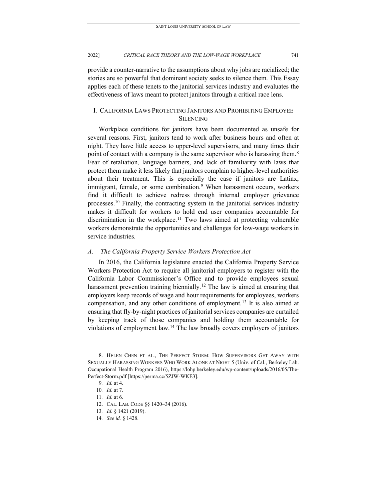provide a counter-narrative to the assumptions about why jobs are racialized; the stories are so powerful that dominant society seeks to silence them. This Essay applies each of these tenets to the janitorial services industry and evaluates the effectiveness of laws meant to protect janitors through a critical race lens.

## I. CALIFORNIA LAWS PROTECTING JANITORS AND PROHIBITING EMPLOYEE SILENCING

Workplace conditions for janitors have been documented as unsafe for several reasons. First, janitors tend to work after business hours and often at night. They have little access to upper-level supervisors, and many times their point of contact with a company is the same supervisor who is harassing them.<sup>[8](#page-3-0)</sup> Fear of retaliation, language barriers, and lack of familiarity with laws that protect them make it less likely that janitors complain to higher-level authorities about their treatment. This is especially the case if janitors are Latinx, immigrant, female, or some combination.<sup>[9](#page-3-1)</sup> When harassment occurs, workers find it difficult to achieve redress through internal employer grievance processes.<sup>[10](#page-3-2)</sup> Finally, the contracting system in the janitorial services industry makes it difficult for workers to hold end user companies accountable for discrimination in the workplace.<sup>[11](#page-3-3)</sup> Two laws aimed at protecting vulnerable workers demonstrate the opportunities and challenges for low-wage workers in service industries.

#### *A. The California Property Service Workers Protection Act*

In 2016, the California legislature enacted the California Property Service Workers Protection Act to require all janitorial employers to register with the California Labor Commissioner's Office and to provide employees sexual harassment prevention training biennially.<sup>[12](#page-3-4)</sup> The law is aimed at ensuring that employers keep records of wage and hour requirements for employees, workers compensation, and any other conditions of employment.[13](#page-3-5) It is also aimed at ensuring that fly-by-night practices of janitorial services companies are curtailed by keeping track of those companies and holding them accountable for violations of employment law.[14](#page-3-6) The law broadly covers employers of janitors

<span id="page-3-2"></span><span id="page-3-1"></span><span id="page-3-0"></span><sup>8.</sup> HELEN CHEN ET AL., THE PERFECT STORM: HOW SUPERVISORS GET AWAY WITH SEXUALLY HARASSING WORKERS WHO WORK ALONE AT NIGHT 5 (Univ. of Cal., Berkeley Lab. Occupational Health Program 2016), https://lohp.berkeley.edu/wp-content/uploads/2016/05/The-Perfect-Storm.pdf [https://perma.cc/5ZJW-WKE3].

<sup>9</sup>*. Id.* at 4.

<sup>10</sup>*. Id.* at 7.

<span id="page-3-3"></span><sup>11</sup>*. Id.* at 6.

<span id="page-3-4"></span><sup>12.</sup> CAL. LAB. CODE §§ 1420−34 (2016).

<span id="page-3-5"></span><sup>13</sup>*. Id.* § 1421 (2019).

<span id="page-3-6"></span><sup>14</sup>*. See id.* § 1428.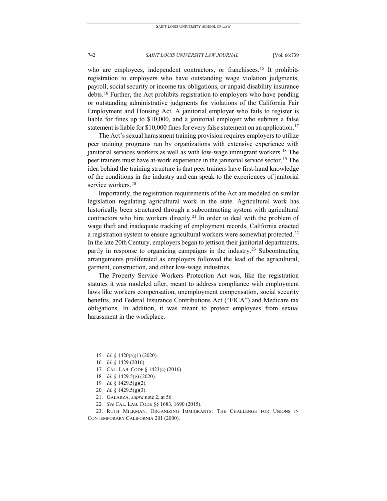who are employees, independent contractors, or franchisees.<sup>[15](#page-4-0)</sup> It prohibits registration to employers who have outstanding wage violation judgments, payroll, social security or income tax obligations, or unpaid disability insurance debts.[16](#page-4-1) Further, the Act prohibits registration to employers who have pending or outstanding administrative judgments for violations of the California Fair Employment and Housing Act. A janitorial employer who fails to register is liable for fines up to \$10,000, and a janitorial employer who submits a false statement is liable for \$10,000 fines for every false statement on an application.<sup>[17](#page-4-2)</sup>

The Act's sexual harassment training provision requires employers to utilize peer training programs run by organizations with extensive experience with janitorial services workers as well as with low-wage immigrant workers.<sup>[18](#page-4-3)</sup> The peer trainers must have at-work experience in the janitorial service sector.<sup>[19](#page-4-4)</sup> The idea behind the training structure is that peer trainers have first-hand knowledge of the conditions in the industry and can speak to the experiences of janitorial service workers.<sup>[20](#page-4-5)</sup>

Importantly, the registration requirements of the Act are modeled on similar legislation regulating agricultural work in the state. Agricultural work has historically been structured through a subcontracting system with agricultural contractors who hire workers directly.<sup>[21](#page-4-6)</sup> In order to deal with the problem of wage theft and inadequate tracking of employment records, California enacted a registration system to ensure agricultural workers were somewhat protected.<sup>[22](#page-4-7)</sup> In the late 20th Century, employers began to jettison their janitorial departments, partly in response to organizing campaigns in the industry.<sup>[23](#page-4-8)</sup> Subcontracting arrangements proliferated as employers followed the lead of the agricultural, garment, construction, and other low-wage industries.

The Property Service Workers Protection Act was, like the registration statutes it was modeled after, meant to address compliance with employment laws like workers compensation, unemployment compensation, social security benefits, and Federal Insurance Contributions Act ("FICA") and Medicare tax obligations. In addition, it was meant to protect employees from sexual harassment in the workplace.

- <span id="page-4-2"></span>17. CAL. LAB. CODE § 1423(c) (2016).
- 18*. Id.* § 1429.5(g) (2020).
- 19*. Id.* § 1429.5(g)(2).

- 21. GALARZA, *supra* note 2, at 56.
- 22*. See* CAL. LAB. CODE §§ 1683, 1690 (2015).

<span id="page-4-8"></span><span id="page-4-7"></span><span id="page-4-6"></span><span id="page-4-5"></span><span id="page-4-4"></span><span id="page-4-3"></span>23. RUTH MILKMAN, ORGANIZING IMMIGRANTS: THE CHALLENGE FOR UNIONS IN CONTEMPORARY CALIFORNIA 201 (2000).

<span id="page-4-0"></span><sup>15</sup>*. Id.* § 1420(a)(1) (2020).

<span id="page-4-1"></span><sup>16</sup>*. Id.* § 1429 (2016).

<sup>20</sup>*. Id.* § 1429.5(g)(3).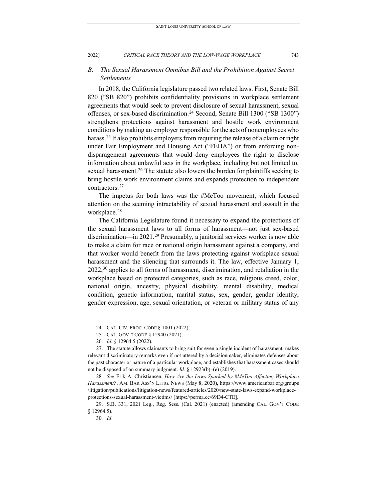## *B. The Sexual Harassment Omnibus Bill and the Prohibition Against Secret Settlements*

In 2018, the California legislature passed two related laws. First, Senate Bill 820 ("SB 820") prohibits confidentiality provisions in workplace settlement agreements that would seek to prevent disclosure of sexual harassment, sexual offenses, or sex-based discrimination.[24](#page-5-0) Second, Senate Bill 1300 ("SB 1300") strengthens protections against harassment and hostile work environment conditions by making an employer responsible for the acts of nonemployees who harass.<sup>[25](#page-5-1)</sup> It also prohibits employers from requiring the release of a claim or right under Fair Employment and Housing Act ("FEHA") or from enforcing nondisparagement agreements that would deny employees the right to disclose information about unlawful acts in the workplace, including but not limited to, sexual harassment.<sup>[26](#page-5-2)</sup> The statute also lowers the burden for plaintiffs seeking to bring hostile work environment claims and expands protection to independent contractors.[27](#page-5-3)

The impetus for both laws was the #MeToo movement, which focused attention on the seeming intractability of sexual harassment and assault in the workplace.[28](#page-5-4)

The California Legislature found it necessary to expand the protections of the sexual harassment laws to all forms of harassment—not just sex-based discrimination—in 2021.<sup>[29](#page-5-5)</sup> Presumably, a janitorial services worker is now able to make a claim for race or national origin harassment against a company, and that worker would benefit from the laws protecting against workplace sexual harassment and the silencing that surrounds it. The law, effective January 1,  $2022<sup>30</sup>$  $2022<sup>30</sup>$  $2022<sup>30</sup>$  applies to all forms of harassment, discrimination, and retaliation in the workplace based on protected categories, such as race, religious creed, color, national origin, ancestry, physical disability, mental disability, medical condition, genetic information, marital status, sex, gender, gender identity, gender expression, age, sexual orientation, or veteran or military status of any

<span id="page-5-4"></span>28*. See* Erik A. Christiansen, *How Are the Laws Sparked by #MeToo Affecting Workplace Harassment?*, AM. BAR ASS'N LITIG. NEWS (May 8, 2020), https://www.americanbar.org/groups /litigation/publications/litigation-news/featured-articles/2020/new-state-laws-expand-workplaceprotections-sexual-harassment-victims/ [https://perma.cc/69D4-CTE].

<span id="page-5-6"></span><span id="page-5-5"></span>29. S.B. 331, 2021 Leg., Reg. Sess. (Cal. 2021) (enacted) (amending CAL. GOV'T CODE § 12964.5).

30*. Id*.

<sup>24.</sup> CAL. CIV. PROC. CODE § 1001 (2022).

<sup>25.</sup> CAL. GOV'T CODE § 12940 (2021).

<sup>26</sup>*. Id.* § 12964.5 (2022).

<span id="page-5-3"></span><span id="page-5-2"></span><span id="page-5-1"></span><span id="page-5-0"></span><sup>27.</sup> The statute allows claimants to bring suit for even a single incident of harassment, makes relevant discriminatory remarks even if not uttered by a decisionmaker, eliminates defenses about the past character or nature of a particular workplace, and establishes that harassment cases should not be disposed of on summary judgment. *Id.* § 12923(b)–(e) (2019).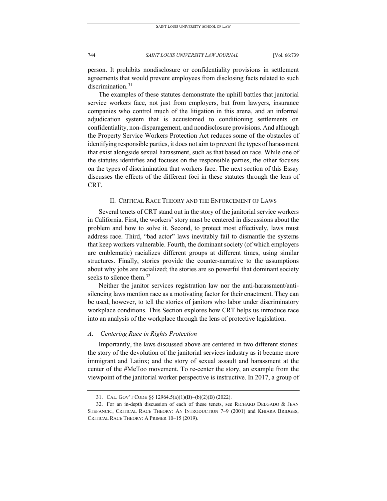person. It prohibits nondisclosure or confidentiality provisions in settlement agreements that would prevent employees from disclosing facts related to such discrimination.<sup>[31](#page-6-0)</sup>

The examples of these statutes demonstrate the uphill battles that janitorial service workers face, not just from employers, but from lawyers, insurance companies who control much of the litigation in this arena, and an informal adjudication system that is accustomed to conditioning settlements on confidentiality, non-disparagement, and nondisclosure provisions. And although the Property Service Workers Protection Act reduces some of the obstacles of identifying responsible parties, it does not aim to prevent the types of harassment that exist alongside sexual harassment, such as that based on race. While one of the statutes identifies and focuses on the responsible parties, the other focuses on the types of discrimination that workers face. The next section of this Essay discusses the effects of the different foci in these statutes through the lens of CRT.

#### II. CRITICAL RACE THEORY AND THE ENFORCEMENT OF LAWS

Several tenets of CRT stand out in the story of the janitorial service workers in California. First, the workers' story must be centered in discussions about the problem and how to solve it. Second, to protect most effectively, laws must address race. Third, "bad actor" laws inevitably fail to dismantle the systems that keep workers vulnerable. Fourth, the dominant society (of which employers are emblematic) racializes different groups at different times, using similar structures. Finally, stories provide the counter-narrative to the assumptions about why jobs are racialized; the stories are so powerful that dominant society seeks to silence them.<sup>[32](#page-6-1)</sup>

Neither the janitor services registration law nor the anti-harassment/antisilencing laws mention race as a motivating factor for their enactment. They can be used, however, to tell the stories of janitors who labor under discriminatory workplace conditions. This Section explores how CRT helps us introduce race into an analysis of the workplace through the lens of protective legislation.

#### *A. Centering Race in Rights Protection*

Importantly, the laws discussed above are centered in two different stories: the story of the devolution of the janitorial services industry as it became more immigrant and Latinx; and the story of sexual assault and harassment at the center of the #MeToo movement. To re-center the story, an example from the viewpoint of the janitorial worker perspective is instructive. In 2017, a group of

<sup>31.</sup> CAL. GOV'T CODE §§ 12964.5(a)(1)(B)−(b)(2)(B) (2022).

<span id="page-6-1"></span><span id="page-6-0"></span><sup>32.</sup> For an in-depth discussion of each of these tenets, see RICHARD DELGADO & JEAN STEFANCIC, CRITICAL RACE THEORY: AN INTRODUCTION 7–9 (2001) and KHIARA BRIDGES, CRITICAL RACE THEORY: A PRIMER 10–15 (2019).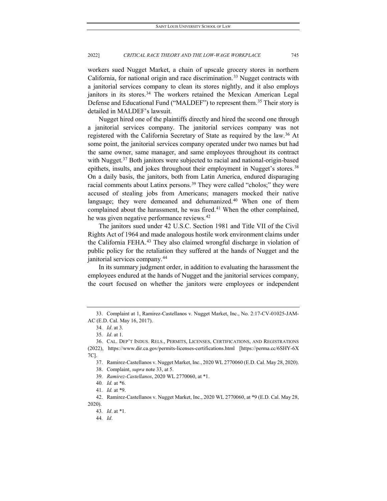workers sued Nugget Market, a chain of upscale grocery stores in northern California, for national origin and race discrimination.<sup>[33](#page-7-0)</sup> Nugget contracts with a janitorial services company to clean its stores nightly, and it also employs janitors in its stores.<sup>34</sup> The workers retained the Mexican American Legal Defense and Educational Fund ("MALDEF") to represent them.<sup>[35](#page-7-2)</sup> Their story is detailed in MALDEF's lawsuit.

Nugget hired one of the plaintiffs directly and hired the second one through a janitorial services company. The janitorial services company was not registered with the California Secretary of State as required by the law.[36](#page-7-3) At some point, the janitorial services company operated under two names but had the same owner, same manager, and same employees throughout its contract with Nugget.<sup>[37](#page-7-4)</sup> Both janitors were subjected to racial and national-origin-based epithets, insults, and jokes throughout their employment in Nugget's stores.<sup>[38](#page-7-5)</sup> On a daily basis, the janitors, both from Latin America, endured disparaging racial comments about Latinx persons.<sup>[39](#page-7-6)</sup> They were called "cholos;" they were accused of stealing jobs from Americans; managers mocked their native language; they were demeaned and dehumanized.<sup>[40](#page-7-7)</sup> When one of them complained about the harassment, he was fired.<sup>[41](#page-7-8)</sup> When the other complained, he was given negative performance reviews.<sup>[42](#page-7-9)</sup>

The janitors sued under 42 U.S.C. Section 1981 and Title VII of the Civil Rights Act of 1964 and made analogous hostile work environment claims under the California FEHA.<sup>[43](#page-7-10)</sup> They also claimed wrongful discharge in violation of public policy for the retaliation they suffered at the hands of Nugget and the janitorial services company.[44](#page-7-11)

In its summary judgment order, in addition to evaluating the harassment the employees endured at the hands of Nugget and the janitorial services company, the court focused on whether the janitors were employees or independent

<span id="page-7-1"></span><span id="page-7-0"></span><sup>33.</sup> Complaint at 1, Ramirez-Castellanos v. Nugget Market, Inc., No. 2:17-CV-01025-JAM-AC (E.D. Cal. May 16, 2017).

<sup>34</sup>*. Id*. at 3.

<sup>35</sup>*. Id*. at 1.

<sup>36.</sup> CAL. DEP'T INDUS. RELS., PERMITS, LICENSES, CERTIFICATIONS, AND REGISTRATIONS

<span id="page-7-5"></span><span id="page-7-4"></span><span id="page-7-3"></span><span id="page-7-2"></span><sup>(2022),</sup> https://www.dir.ca.gov/permits-licenses-certifications.html [https://perma.cc/6SHY-6X 7C].

<sup>37.</sup> Ramirez-Castellanos v. Nugget Market, Inc., 2020 WL 2770060 (E.D. Cal. May 28, 2020).

<sup>38.</sup> Complaint, *supra* note 33, at 5.

<sup>39</sup>*. Ramirez-Castellanos*, 2020 WL 2770060, at \*1.

<sup>40</sup>*. Id.* at \*6.

<sup>41</sup>*. Id.* at \*9.

<span id="page-7-11"></span><span id="page-7-10"></span><span id="page-7-9"></span><span id="page-7-8"></span><span id="page-7-7"></span><span id="page-7-6"></span><sup>42.</sup> Ramirez-Castellanos v. Nugget Market, Inc., 2020 WL 2770060, at \*9 (E.D. Cal. May 28, 2020).

<sup>43</sup>*. Id*. at \*1.

<sup>44</sup>*. Id*.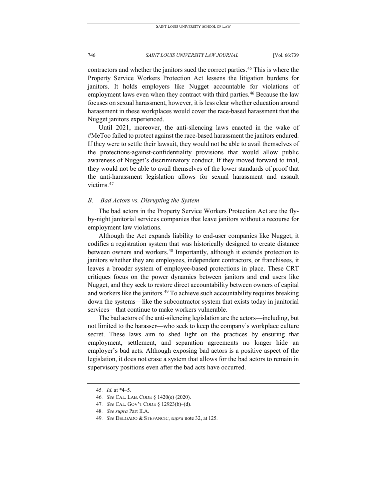contractors and whether the janitors sued the correct parties.[45](#page-8-0) This is where the Property Service Workers Protection Act lessens the litigation burdens for janitors. It holds employers like Nugget accountable for violations of employment laws even when they contract with third parties.<sup>[46](#page-8-1)</sup> Because the law focuses on sexual harassment, however, it is less clear whether education around harassment in these workplaces would cover the race-based harassment that the Nugget janitors experienced.

Until 2021, moreover, the anti-silencing laws enacted in the wake of #MeToo failed to protect against the race-based harassment the janitors endured. If they were to settle their lawsuit, they would not be able to avail themselves of the protections-against-confidentiality provisions that would allow public awareness of Nugget's discriminatory conduct. If they moved forward to trial, they would not be able to avail themselves of the lower standards of proof that the anti-harassment legislation allows for sexual harassment and assault victims.<sup>[47](#page-8-2)</sup>

#### *B. Bad Actors vs. Disrupting the System*

The bad actors in the Property Service Workers Protection Act are the flyby-night janitorial services companies that leave janitors without a recourse for employment law violations.

Although the Act expands liability to end-user companies like Nugget, it codifies a registration system that was historically designed to create distance between owners and workers.<sup>[48](#page-8-3)</sup> Importantly, although it extends protection to janitors whether they are employees, independent contractors, or franchisees, it leaves a broader system of employee-based protections in place. These CRT critiques focus on the power dynamics between janitors and end users like Nugget, and they seek to restore direct accountability between owners of capital and workers like the janitors.<sup>[49](#page-8-4)</sup> To achieve such accountability requires breaking down the systems—like the subcontractor system that exists today in janitorial services—that continue to make workers vulnerable.

The bad actors of the anti-silencing legislation are the actors—including, but not limited to the harasser—who seek to keep the company's workplace culture secret. These laws aim to shed light on the practices by ensuring that employment, settlement, and separation agreements no longer hide an employer's bad acts. Although exposing bad actors is a positive aspect of the legislation, it does not erase a system that allows for the bad actors to remain in supervisory positions even after the bad acts have occurred.

<span id="page-8-0"></span><sup>45</sup>*. Id.* at \*4–5.

<sup>46</sup>*. See* CAL. LAB. CODE § 1420(e) (2020).

<span id="page-8-2"></span><span id="page-8-1"></span><sup>47</sup>*. See* CAL. GOV'T CODE § 12923(b)–(d).

<span id="page-8-4"></span><span id="page-8-3"></span><sup>48</sup>*. See supra* Part II.A.

<sup>49</sup>*. See* DELGADO & STEFANCIC, *supra* note 32, at 125.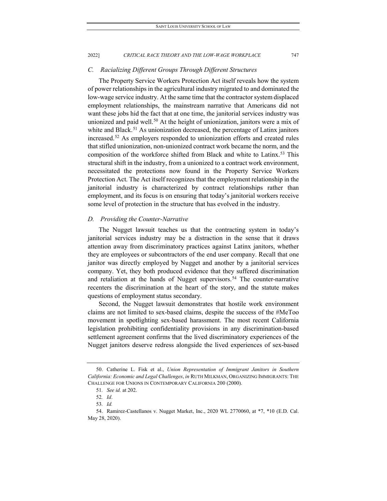#### *C. Racializing Different Groups Through Different Structures*

The Property Service Workers Protection Act itself reveals how the system of power relationships in the agricultural industry migrated to and dominated the low-wage service industry. At the same time that the contractor system displaced employment relationships, the mainstream narrative that Americans did not want these jobs hid the fact that at one time, the janitorial services industry was unionized and paid well.<sup>[50](#page-9-0)</sup> At the height of unionization, janitors were a mix of white and Black.<sup>[51](#page-9-1)</sup> As unionization decreased, the percentage of Latinx janitors increased.[52](#page-9-2) As employers responded to unionization efforts and created rules that stifled unionization, non-unionized contract work became the norm, and the composition of the workforce shifted from Black and white to Latinx.<sup>[53](#page-9-3)</sup> This structural shift in the industry, from a unionized to a contract work environment, necessitated the protections now found in the Property Service Workers Protection Act. The Act itself recognizes that the employment relationship in the janitorial industry is characterized by contract relationships rather than employment, and its focus is on ensuring that today's janitorial workers receive some level of protection in the structure that has evolved in the industry.

### *D. Providing the Counter-Narrative*

The Nugget lawsuit teaches us that the contracting system in today's janitorial services industry may be a distraction in the sense that it draws attention away from discriminatory practices against Latinx janitors, whether they are employees or subcontractors of the end user company. Recall that one janitor was directly employed by Nugget and another by a janitorial services company. Yet, they both produced evidence that they suffered discrimination and retaliation at the hands of Nugget supervisors.<sup>[54](#page-9-4)</sup> The counter-narrative recenters the discrimination at the heart of the story, and the statute makes questions of employment status secondary.

Second, the Nugget lawsuit demonstrates that hostile work environment claims are not limited to sex-based claims, despite the success of the #MeToo movement in spotlighting sex-based harassment. The most recent California legislation prohibiting confidentiality provisions in any discrimination-based settlement agreement confirms that the lived discriminatory experiences of the Nugget janitors deserve redress alongside the lived experiences of sex-based

<span id="page-9-1"></span><span id="page-9-0"></span><sup>50.</sup> Catherine L. Fisk et al., *Union Representation of Immigrant Janitors in Southern California: Economic and Legal Challenges*, *in* RUTH MILKMAN, ORGANIZING IMMIGRANTS: THE CHALLENGE FOR UNIONS IN CONTEMPORARY CALIFORNIA 200 (2000).

<sup>51</sup>*. See id.* at 202.

<sup>52</sup>*. Id*.

<sup>53</sup>*. Id.*

<span id="page-9-4"></span><span id="page-9-3"></span><span id="page-9-2"></span><sup>54.</sup> Ramirez-Castellanos v. Nugget Market, Inc., 2020 WL 2770060, at \*7, \*10 (E.D. Cal. May 28, 2020).